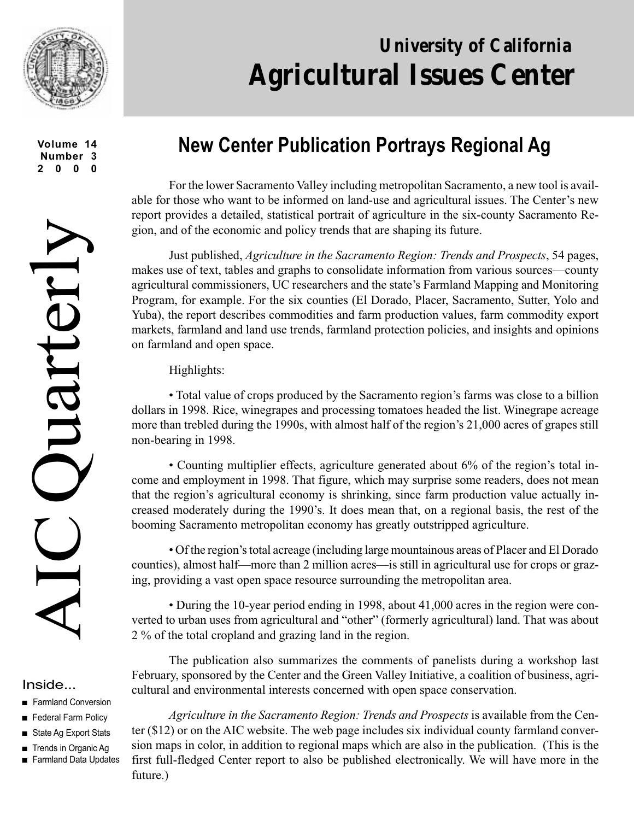

**Volume 14 Number 3 2000**

#### Inside...

- Farmland Conversion
- Federal Farm Policy
- State Ag Export Stats
- Trends in Organic Ag
- Farmland Data Updates

# **University of California Agricultural Issues Center**

## **New Center Publication Portrays Regional Ag**

For the lower Sacramento Valley including metropolitan Sacramento, a new tool is available for those who want to be informed on land-use and agricultural issues. The Center's new report provides a detailed, statistical portrait of agriculture in the six-county Sacramento Region, and of the economic and policy trends that are shaping its future.

Just published, *Agriculture in the Sacramento Region: Trends and Prospects*, 54 pages, makes use of text, tables and graphs to consolidate information from various sources—county agricultural commissioners, UC researchers and the state's Farmland Mapping and Monitoring Program, for example. For the six counties (El Dorado, Placer, Sacramento, Sutter, Yolo and Yuba), the report describes commodities and farm production values, farm commodity export markets, farmland and land use trends, farmland protection policies, and insights and opinions on farmland and open space.

Highlights:

• Total value of crops produced by the Sacramento region's farms was close to a billion dollars in 1998. Rice, winegrapes and processing tomatoes headed the list. Winegrape acreage more than trebled during the 1990s, with almost half of the region's 21,000 acres of grapes still non-bearing in 1998.

• Counting multiplier effects, agriculture generated about 6% of the region's total income and employment in 1998. That figure, which may surprise some readers, does not mean that the region's agricultural economy is shrinking, since farm production value actually increased moderately during the 1990's. It does mean that, on a regional basis, the rest of the booming Sacramento metropolitan economy has greatly outstripped agriculture.

• Of the region's total acreage (including large mountainous areas of Placer and El Dorado counties), almost half—more than 2 million acres—is still in agricultural use for crops or grazing, providing a vast open space resource surrounding the metropolitan area.

• During the 10-year period ending in 1998, about 41,000 acres in the region were converted to urban uses from agricultural and "other" (formerly agricultural) land. That was about 2 % of the total cropland and grazing land in the region.

The publication also summarizes the comments of panelists during a workshop last February, sponsored by the Center and the Green Valley Initiative, a coalition of business, agricultural and environmental interests concerned with open space conservation.

*Agriculture in the Sacramento Region: Trends and Prospects* is available from the Center (\$12) or on the AIC website. The web page includes six individual county farmland conversion maps in color, in addition to regional maps which are also in the publication. (This is the first full-fledged Center report to also be published electronically. We will have more in the future.)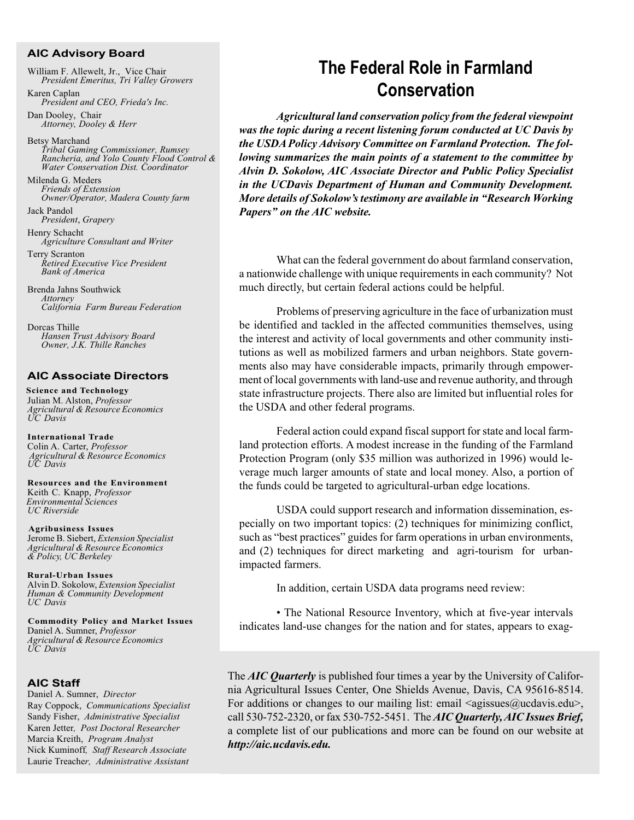#### **AIC Advisory Board**

William F. Allewelt, Jr., Vice Chair *President Emeritus, Tri Valley Growers* Karen Caplan

*President and CEO, Frieda's Inc.*

Dan Dooley, Chair *Attorney, Dooley & Herr*

Betsy Marchand *Tribal Gaming Commissioner, Rumsey Rancheria, and Yolo County Flood Control & Water Conservation Dist. Coordinator*

Milenda G. Meders *Friends of Extension Owner/Operator, Madera County farm*

Jack Pandol *President*, *Grapery*

Henry Schacht *Agriculture Consultant and Writer*

Terry Scranton *Retired Executive Vice President Bank of America*

Brenda Jahns Southwick *Attorney California Farm Bureau Federation*

Dorcas Thille *Hansen Trust Advisory Board Owner, J.K. Thille Ranches*

#### **AIC Associate Directors**

 **Science and Technology** Julian M. Alston, *Professor Agricultural & Resource Economics UC Davis*

 **International Trade** Colin A. Carter, *Professor Agricultural & Resource Economics UC Davis*

 **Resources and the Environment** Keith C. Knapp, *Professor Environmental Sciences UC Riverside*

 **Agribusiness Issues** Jerome B. Siebert, *Extension Specialist Agricultural & Resource Economics & Policy, UC Berkeley*

 **Rural-Urban Issues** Alvin D. Sokolow, *Extension Specialist Human & Community Development UC Davis*

 **Commodity Policy and Market Issues** Daniel A. Sumner, *Professor Agricultural & Resource Economics UC Davis*

#### **AIC Staff**

Daniel A. Sumner, *Director* Ray Coppock, *Communications Specialist* Sandy Fisher, *Administrative Specialist* Karen Jetter*, Post Doctoral Researcher* Marcia Kreith, *Program Analyst* Nick Kuminoff*, Staff Research Associate* Laurie Treache*r, Administrative Assistant*

### **The Federal Role in Farmland Conservation**

*Agricultural land conservation policy from the federal viewpoint was the topic during a recent listening forum conducted at UC Davis by the USDA Policy Advisory Committee on Farmland Protection. The following summarizes the main points of a statement to the committee by Alvin D. Sokolow, AIC Associate Director and Public Policy Specialist in the UCDavis Department of Human and Community Development. More details of Sokolow's testimony are available in "Research Working Papers" on the AIC website.*

What can the federal government do about farmland conservation, a nationwide challenge with unique requirements in each community? Not much directly, but certain federal actions could be helpful.

Problems of preserving agriculture in the face of urbanization must be identified and tackled in the affected communities themselves, using the interest and activity of local governments and other community institutions as well as mobilized farmers and urban neighbors. State governments also may have considerable impacts, primarily through empowerment of local governments with land-use and revenue authority, and through state infrastructure projects. There also are limited but influential roles for the USDA and other federal programs.

Federal action could expand fiscal support for state and local farmland protection efforts. A modest increase in the funding of the Farmland Protection Program (only \$35 million was authorized in 1996) would leverage much larger amounts of state and local money. Also, a portion of the funds could be targeted to agricultural-urban edge locations.

USDA could support research and information dissemination, especially on two important topics: (2) techniques for minimizing conflict, such as "best practices" guides for farm operations in urban environments, and (2) techniques for direct marketing and agri-tourism for urbanimpacted farmers.

In addition, certain USDA data programs need review:

• The National Resource Inventory, which at five-year intervals indicates land-use changes for the nation and for states, appears to exag-

The *AIC Quarterly* is published four times a year by the University of California Agricultural Issues Center, One Shields Avenue, Davis, CA 95616-8514. For additions or changes to our mailing list: email  $\langle \text{agissues}(\hat{\omega})\rangle$  and  $\langle \text{adu}\rangle$ , call 530-752-2320, or fax 530-752-5451. The *AIC Quarterly, AIC Issues Brief,* a complete list of our publications and more can be found on our website at *http://aic.ucdavis.edu.*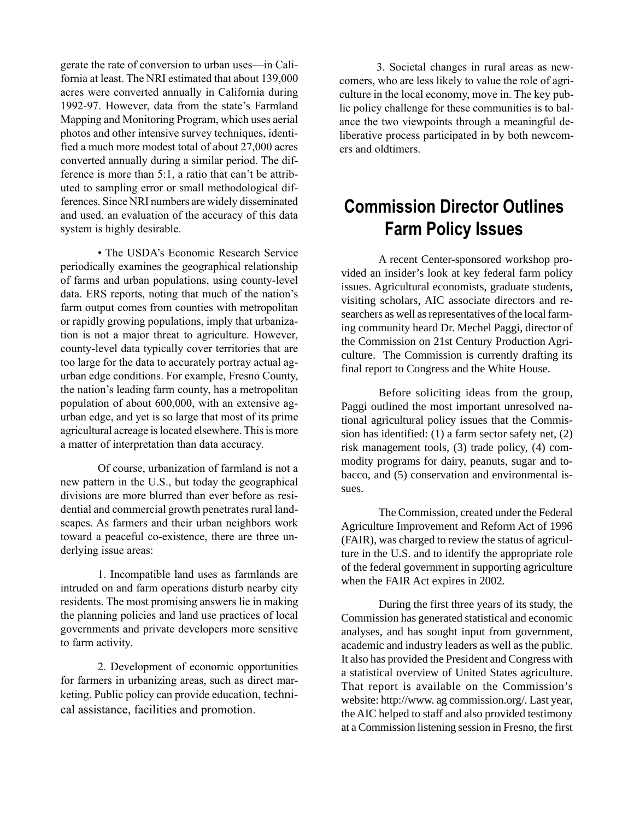gerate the rate of conversion to urban uses—in California at least. The NRI estimated that about 139,000 acres were converted annually in California during 1992-97. However, data from the state's Farmland Mapping and Monitoring Program, which uses aerial photos and other intensive survey techniques, identified a much more modest total of about 27,000 acres converted annually during a similar period. The difference is more than 5:1, a ratio that can't be attributed to sampling error or small methodological differences. Since NRI numbers are widely disseminated and used, an evaluation of the accuracy of this data system is highly desirable.

• The USDA's Economic Research Service periodically examines the geographical relationship of farms and urban populations, using county-level data. ERS reports, noting that much of the nation's farm output comes from counties with metropolitan or rapidly growing populations, imply that urbanization is not a major threat to agriculture. However, county-level data typically cover territories that are too large for the data to accurately portray actual agurban edge conditions. For example, Fresno County, the nation's leading farm county, has a metropolitan population of about 600,000, with an extensive agurban edge, and yet is so large that most of its prime agricultural acreage is located elsewhere. This is more a matter of interpretation than data accuracy.

Of course, urbanization of farmland is not a new pattern in the U.S., but today the geographical divisions are more blurred than ever before as residential and commercial growth penetrates rural landscapes. As farmers and their urban neighbors work toward a peaceful co-existence, there are three underlying issue areas:

1. Incompatible land uses as farmlands are intruded on and farm operations disturb nearby city residents. The most promising answers lie in making the planning policies and land use practices of local governments and private developers more sensitive to farm activity.

2. Development of economic opportunities for farmers in urbanizing areas, such as direct marketing. Public policy can provide education, technical assistance, facilities and promotion.

3. Societal changes in rural areas as newcomers, who are less likely to value the role of agriculture in the local economy, move in. The key public policy challenge for these communities is to balance the two viewpoints through a meaningful deliberative process participated in by both newcomers and oldtimers.

### **Commission Director Outlines Farm Policy Issues**

A recent Center-sponsored workshop provided an insider's look at key federal farm policy issues. Agricultural economists, graduate students, visiting scholars, AIC associate directors and researchers as well as representatives of the local farming community heard Dr. Mechel Paggi, director of the Commission on 21st Century Production Agriculture. The Commission is currently drafting its final report to Congress and the White House.

Before soliciting ideas from the group, Paggi outlined the most important unresolved national agricultural policy issues that the Commission has identified: (1) a farm sector safety net, (2) risk management tools, (3) trade policy, (4) commodity programs for dairy, peanuts, sugar and tobacco, and (5) conservation and environmental issues.

The Commission, created under the Federal Agriculture Improvement and Reform Act of 1996 (FAIR), was charged to review the status of agriculture in the U.S. and to identify the appropriate role of the federal government in supporting agriculture when the FAIR Act expires in 2002.

During the first three years of its study, the Commission has generated statistical and economic analyses, and has sought input from government, academic and industry leaders as well as the public. It also has provided the President and Congress with a statistical overview of United States agriculture. That report is available on the Commission's website: http://www. ag commission.org/. Last year, the AIC helped to staff and also provided testimony at a Commission listening session in Fresno, the first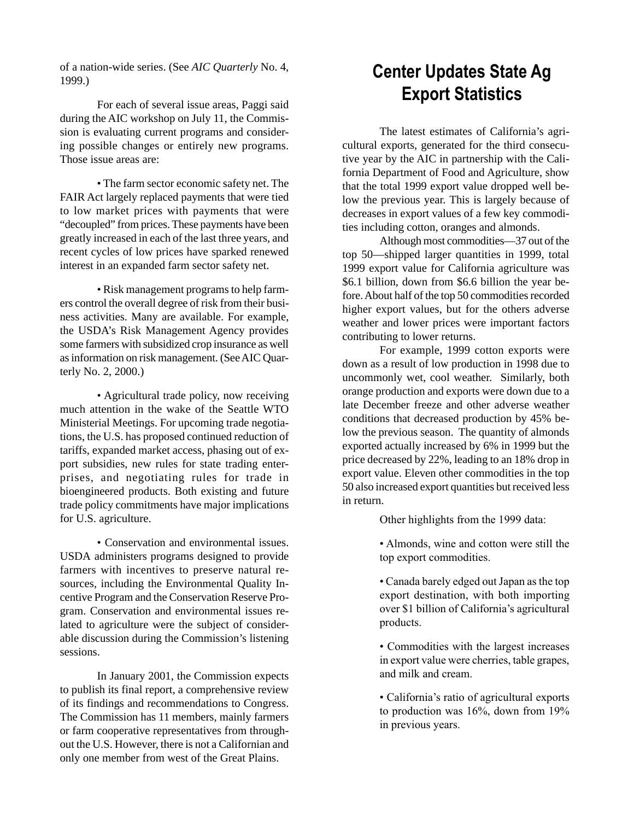of a nation-wide series. (See *AIC Quarterly* No. 4, 1999.)

For each of several issue areas, Paggi said during the AIC workshop on July 11, the Commission is evaluating current programs and considering possible changes or entirely new programs. Those issue areas are:

• The farm sector economic safety net. The FAIR Act largely replaced payments that were tied to low market prices with payments that were "decoupled" from prices. These payments have been greatly increased in each of the last three years, and recent cycles of low prices have sparked renewed interest in an expanded farm sector safety net.

• Risk management programs to help farmers control the overall degree of risk from their business activities. Many are available. For example, the USDA's Risk Management Agency provides some farmers with subsidized crop insurance as well as information on risk management. (See AIC Quarterly No. 2, 2000.)

• Agricultural trade policy, now receiving much attention in the wake of the Seattle WTO Ministerial Meetings. For upcoming trade negotiations, the U.S. has proposed continued reduction of tariffs, expanded market access, phasing out of export subsidies, new rules for state trading enterprises, and negotiating rules for trade in bioengineered products. Both existing and future trade policy commitments have major implications for U.S. agriculture.

• Conservation and environmental issues. USDA administers programs designed to provide farmers with incentives to preserve natural resources, including the Environmental Quality Incentive Program and the Conservation Reserve Program. Conservation and environmental issues related to agriculture were the subject of considerable discussion during the Commission's listening sessions.

In January 2001, the Commission expects to publish its final report, a comprehensive review of its findings and recommendations to Congress. The Commission has 11 members, mainly farmers or farm cooperative representatives from throughout the U.S. However, there is not a Californian and only one member from west of the Great Plains.

### **Center Updates State Ag Export Statistics**

The latest estimates of California's agricultural exports, generated for the third consecutive year by the AIC in partnership with the California Department of Food and Agriculture, show that the total 1999 export value dropped well below the previous year. This is largely because of decreases in export values of a few key commodities including cotton, oranges and almonds.

Although most commodities—37 out of the top 50—shipped larger quantities in 1999, total 1999 export value for California agriculture was \$6.1 billion, down from \$6.6 billion the year before. About half of the top 50 commodities recorded higher export values, but for the others adverse weather and lower prices were important factors contributing to lower returns.

For example, 1999 cotton exports were down as a result of low production in 1998 due to uncommonly wet, cool weather. Similarly, both orange production and exports were down due to a late December freeze and other adverse weather conditions that decreased production by 45% below the previous season. The quantity of almonds exported actually increased by 6% in 1999 but the price decreased by 22%, leading to an 18% drop in export value. Eleven other commodities in the top 50 also increased export quantities but received less in return.

Other highlights from the 1999 data:

• Almonds, wine and cotton were still the top export commodities.

• Canada barely edged out Japan as the top export destination, with both importing over \$1 billion of California's agricultural products.

• Commodities with the largest increases in export value were cherries, table grapes, and milk and cream.

• California's ratio of agricultural exports to production was 16%, down from 19% in previous years.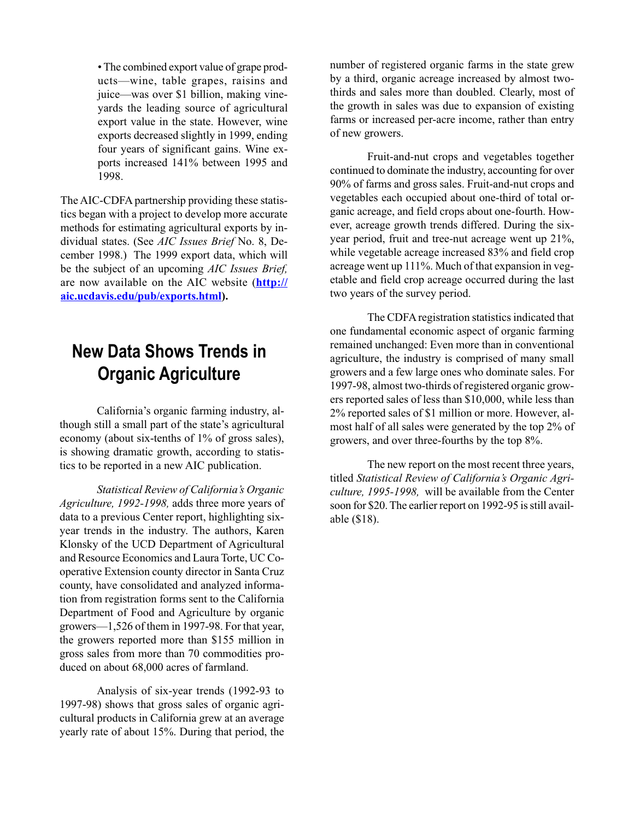• The combined export value of grape products—wine, table grapes, raisins and juice—was over \$1 billion, making vineyards the leading source of agricultural export value in the state. However, wine exports decreased slightly in 1999, ending four years of significant gains. Wine exports increased 141% between 1995 and 1998.

The AIC-CDFA partnership providing these statistics began with a project to develop more accurate methods for estimating agricultural exports by individual states. (See *AIC Issues Brief* No. 8, December 1998.) The 1999 export data, which will be the subject of an upcoming *AIC Issues Brief,* are now available on the AIC website (**http:// aic.ucdavis.edu/pub/exports.html).**

### **New Data Shows Trends in Organic Agriculture**

California's organic farming industry, although still a small part of the state's agricultural economy (about six-tenths of 1% of gross sales), is showing dramatic growth, according to statistics to be reported in a new AIC publication.

*Statistical Review of California's Organic Agriculture, 1992-1998,* adds three more years of data to a previous Center report, highlighting sixyear trends in the industry. The authors, Karen Klonsky of the UCD Department of Agricultural and Resource Economics and Laura Torte, UC Cooperative Extension county director in Santa Cruz county, have consolidated and analyzed information from registration forms sent to the California Department of Food and Agriculture by organic growers—1,526 of them in 1997-98. For that year, the growers reported more than \$155 million in gross sales from more than 70 commodities produced on about 68,000 acres of farmland.

Analysis of six-year trends (1992-93 to 1997-98) shows that gross sales of organic agricultural products in California grew at an average yearly rate of about 15%. During that period, the number of registered organic farms in the state grew by a third, organic acreage increased by almost twothirds and sales more than doubled. Clearly, most of the growth in sales was due to expansion of existing farms or increased per-acre income, rather than entry of new growers.

Fruit-and-nut crops and vegetables together continued to dominate the industry, accounting for over 90% of farms and gross sales. Fruit-and-nut crops and vegetables each occupied about one-third of total organic acreage, and field crops about one-fourth. However, acreage growth trends differed. During the sixyear period, fruit and tree-nut acreage went up 21%, while vegetable acreage increased 83% and field crop acreage went up 111%. Much of that expansion in vegetable and field crop acreage occurred during the last two years of the survey period.

The CDFA registration statistics indicated that one fundamental economic aspect of organic farming remained unchanged: Even more than in conventional agriculture, the industry is comprised of many small growers and a few large ones who dominate sales. For 1997-98, almost two-thirds of registered organic growers reported sales of less than \$10,000, while less than 2% reported sales of \$1 million or more. However, almost half of all sales were generated by the top 2% of growers, and over three-fourths by the top 8%.

The new report on the most recent three years, titled *Statistical Review of California's Organic Agriculture, 1995-1998,* will be available from the Center soon for \$20. The earlier report on 1992-95 is still available (\$18).